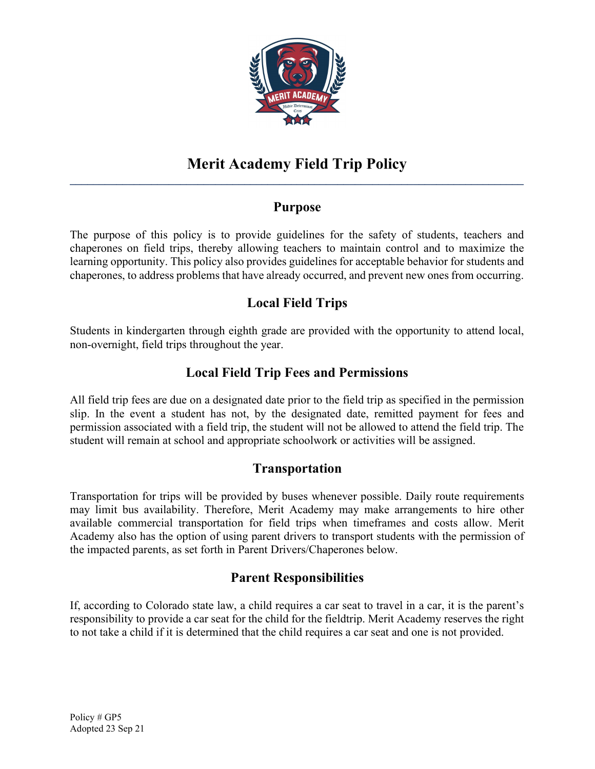

# Purpose

The purpose of this policy is to provide guidelines for the safety of students, teachers and chaperones on field trips, thereby allowing teachers to maintain control and to maximize the learning opportunity. This policy also provides guidelines for acceptable behavior for students and chaperones, to address problems that have already occurred, and prevent new ones from occurring.

# Local Field Trips

Students in kindergarten through eighth grade are provided with the opportunity to attend local, non-overnight, field trips throughout the year.

# Local Field Trip Fees and Permissions

All field trip fees are due on a designated date prior to the field trip as specified in the permission slip. In the event a student has not, by the designated date, remitted payment for fees and permission associated with a field trip, the student will not be allowed to attend the field trip. The student will remain at school and appropriate schoolwork or activities will be assigned.

#### Transportation

Transportation for trips will be provided by buses whenever possible. Daily route requirements may limit bus availability. Therefore, Merit Academy may make arrangements to hire other available commercial transportation for field trips when timeframes and costs allow. Merit Academy also has the option of using parent drivers to transport students with the permission of the impacted parents, as set forth in Parent Drivers/Chaperones below.

#### Parent Responsibilities

If, according to Colorado state law, a child requires a car seat to travel in a car, it is the parent's responsibility to provide a car seat for the child for the fieldtrip. Merit Academy reserves the right to not take a child if it is determined that the child requires a car seat and one is not provided.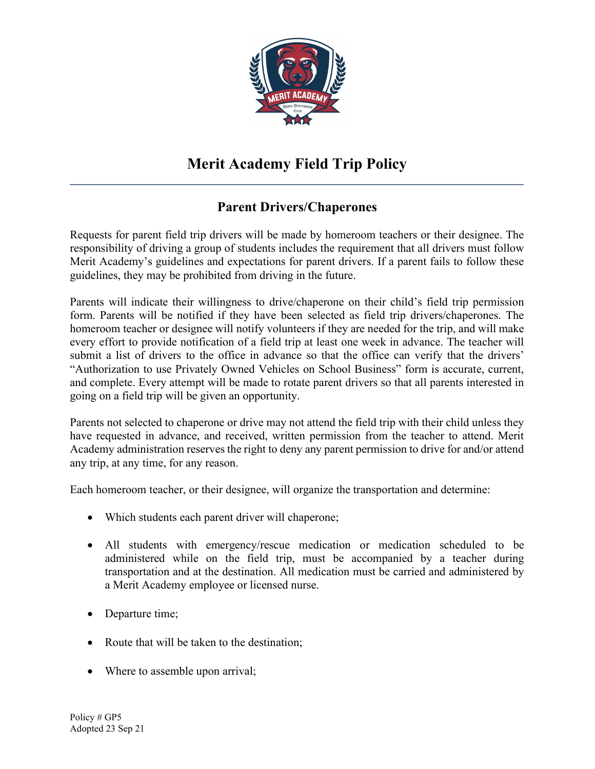

# Parent Drivers/Chaperones

Requests for parent field trip drivers will be made by homeroom teachers or their designee. The responsibility of driving a group of students includes the requirement that all drivers must follow Merit Academy's guidelines and expectations for parent drivers. If a parent fails to follow these guidelines, they may be prohibited from driving in the future.

Parents will indicate their willingness to drive/chaperone on their child's field trip permission form. Parents will be notified if they have been selected as field trip drivers/chaperones. The homeroom teacher or designee will notify volunteers if they are needed for the trip, and will make every effort to provide notification of a field trip at least one week in advance. The teacher will submit a list of drivers to the office in advance so that the office can verify that the drivers' "Authorization to use Privately Owned Vehicles on School Business" form is accurate, current, and complete. Every attempt will be made to rotate parent drivers so that all parents interested in going on a field trip will be given an opportunity.

Parents not selected to chaperone or drive may not attend the field trip with their child unless they have requested in advance, and received, written permission from the teacher to attend. Merit Academy administration reserves the right to deny any parent permission to drive for and/or attend any trip, at any time, for any reason.

Each homeroom teacher, or their designee, will organize the transportation and determine:

- Which students each parent driver will chaperone;
- All students with emergency/rescue medication or medication scheduled to be administered while on the field trip, must be accompanied by a teacher during transportation and at the destination. All medication must be carried and administered by a Merit Academy employee or licensed nurse.
- Departure time;
- Route that will be taken to the destination;
- Where to assemble upon arrival;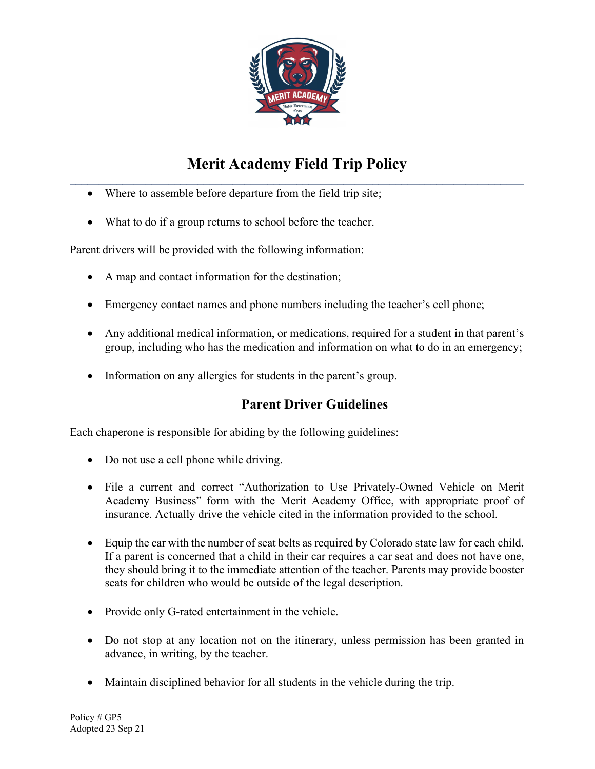

- Where to assemble before departure from the field trip site;
- What to do if a group returns to school before the teacher.

Parent drivers will be provided with the following information:

- A map and contact information for the destination;
- Emergency contact names and phone numbers including the teacher's cell phone;
- Any additional medical information, or medications, required for a student in that parent's group, including who has the medication and information on what to do in an emergency;
- Information on any allergies for students in the parent's group.

# Parent Driver Guidelines

Each chaperone is responsible for abiding by the following guidelines:

- Do not use a cell phone while driving.
- File a current and correct "Authorization to Use Privately-Owned Vehicle on Merit Academy Business" form with the Merit Academy Office, with appropriate proof of insurance. Actually drive the vehicle cited in the information provided to the school.
- Equip the car with the number of seat belts as required by Colorado state law for each child. If a parent is concerned that a child in their car requires a car seat and does not have one, they should bring it to the immediate attention of the teacher. Parents may provide booster seats for children who would be outside of the legal description.
- Provide only G-rated entertainment in the vehicle.
- Do not stop at any location not on the itinerary, unless permission has been granted in advance, in writing, by the teacher.
- Maintain disciplined behavior for all students in the vehicle during the trip.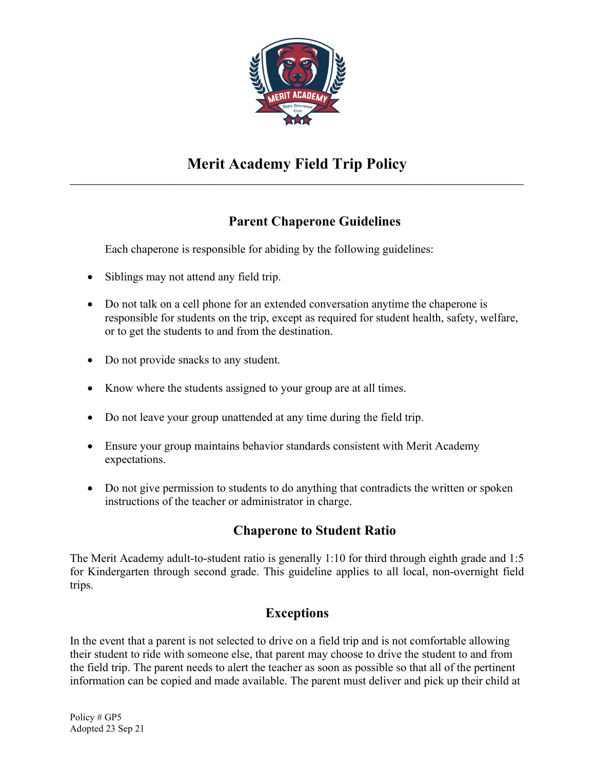

# Parent Chaperone Guidelines

Each chaperone is responsible for abiding by the following guidelines:

- Siblings may not attend any field trip.
- Do not talk on a cell phone for an extended conversation anytime the chaperone is responsible for students on the trip, except as required for student health, safety, welfare, or to get the students to and from the destination.
- Do not provide snacks to any student.
- Know where the students assigned to your group are at all times.
- Do not leave your group unattended at any time during the field trip.
- Ensure your group maintains behavior standards consistent with Merit Academy expectations.
- Do not give permission to students to do anything that contradicts the written or spoken instructions of the teacher or administrator in charge.

# Chaperone to Student Ratio

The Merit Academy adult-to-student ratio is generally 1:10 for third through eighth grade and 1:5 for Kindergarten through second grade. This guideline applies to all local, non-overnight field trips.

# Exceptions

In the event that a parent is not selected to drive on a field trip and is not comfortable allowing their student to ride with someone else, that parent may choose to drive the student to and from the field trip. The parent needs to alert the teacher as soon as possible so that all of the pertinent information can be copied and made available. The parent must deliver and pick up their child at